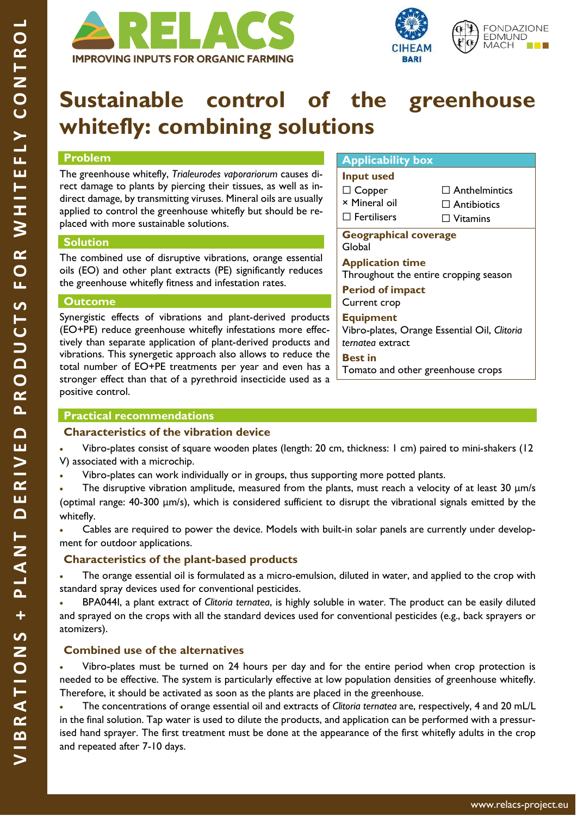



# **Sustainable control of the greenhouse whitefly: combining solutions**

#### **Problem**

The greenhouse whitefly, *Trialeurodes vaporariorum* causes direct damage to plants by piercing their tissues, as well as indirect damage, by transmitting viruses. Mineral oils are usually applied to control the greenhouse whitefly but should be replaced with more sustainable solutions.

#### **Solution**

The combined use of disruptive vibrations, orange essential oils (EO) and other plant extracts (PE) significantly reduces the greenhouse whitefly fitness and infestation rates.

#### **Outcome**

Synergistic effects of vibrations and plant-derived products (EO+PE) reduce greenhouse whitefly infestations more effectively than separate application of plant-derived products and vibrations. This synergetic approach also allows to reduce the total number of EO+PE treatments per year and even has a stronger effect than that of a pyrethroid insecticide used as a positive control.

#### **Applicability box**

### **Input used** ☐ Copper

× Mineral oil ☐ Fertilisers

□ Anthelmintics

□ Antibiotics

□ Vitamins

**Geographical coverage**  Global

**Application time** Throughout the entire cropping season

**Period of impact** Current crop

#### **Equipment**

Vibro-plates, Orange Essential Oil, *Clitoria ternatea* extract

**Best in** Tomato and other greenhouse crops

#### **Practical recommendations**

#### **Characteristics of the vibration device**

• Vibro-plates consist of square wooden plates (length: 20 cm, thickness: 1 cm) paired to mini-shakers (12 V) associated with a microchip.

• Vibro-plates can work individually or in groups, thus supporting more potted plants.

• The disruptive vibration amplitude, measured from the plants, must reach a velocity of at least 30 μm/s (optimal range: 40-300 μm/s), which is considered sufficient to disrupt the vibrational signals emitted by the whitefly.

• Cables are required to power the device. Models with built-in solar panels are currently under development for outdoor applications.

#### **Characteristics of the plant-based products**

• The orange essential oil is formulated as a micro-emulsion, diluted in water, and applied to the crop with standard spray devices used for conventional pesticides.

• BPA044I, a plant extract of *Clitoria ternatea*, is highly soluble in water. The product can be easily diluted and sprayed on the crops with all the standard devices used for conventional pesticides (e.g., back sprayers or atomizers).

#### **Combined use of the alternatives**

• Vibro-plates must be turned on 24 hours per day and for the entire period when crop protection is needed to be effective. The system is particularly effective at low population densities of greenhouse whitefly. Therefore, it should be activated as soon as the plants are placed in the greenhouse.

• The concentrations of orange essential oil and extracts of *Clitoria ternatea* are, respectively, 4 and 20 mL/L in the final solution. Tap water is used to dilute the products, and application can be performed with a pressurised hand sprayer. The first treatment must be done at the appearance of the first whitefly adults in the crop and repeated after 7-10 days.